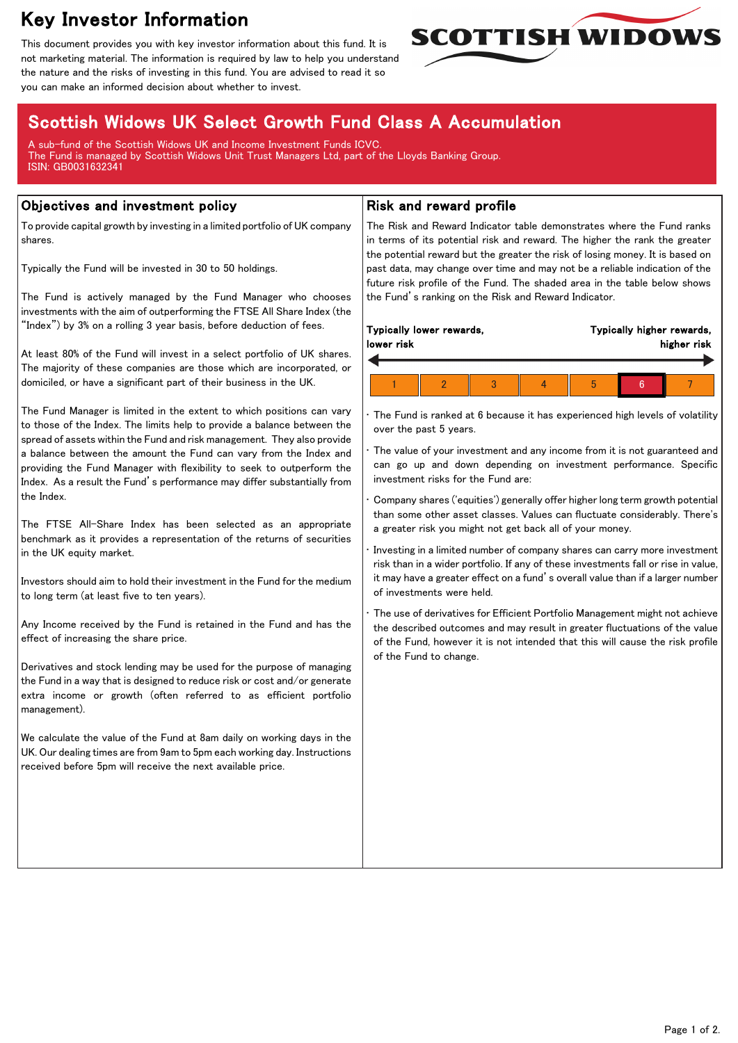# Key Investor Information

This document provides you with key investor information about this fund. It is not marketing material. The information is required by law to help you understand the nature and the risks of investing in this fund. You are advised to read it so you can make an informed decision about whether to invest.



# Scottish Widows UK Select Growth Fund Class A Accumulation

A sub-fund of the Scottish Widows UK and Income Investment Funds ICVC. The Fund is managed by Scottish Widows Unit Trust Managers Ltd, part of the Lloyds Banking Group. ISIN: GB0031632341

### Objectives and investment policy

To provide capital growth by investing in a limited portfolio of UK company shares.

Typically the Fund will be invested in 30 to 50 holdings.

The Fund is actively managed by the Fund Manager who chooses investments with the aim of outperforming the FTSE All Share Index (the "Index") by 3% on a rolling 3 year basis, before deduction of fees.

At least 80% of the Fund will invest in a select portfolio of UK shares. The majority of these companies are those which are incorporated, or domiciled, or have a significant part of their business in the UK.

The Fund Manager is limited in the extent to which positions can vary to those of the Index. The limits help to provide a balance between the spread of assets within the Fund and risk management. They also provide a balance between the amount the Fund can vary from the Index and providing the Fund Manager with flexibility to seek to outperform the Index. As a result the Fund's performance may differ substantially from the Index.

The FTSE All-Share Index has been selected as an appropriate benchmark as it provides a representation of the returns of securities in the UK equity market.

Investors should aim to hold their investment in the Fund for the medium to long term (at least five to ten years).

Any Income received by the Fund is retained in the Fund and has the effect of increasing the share price.

Derivatives and stock lending may be used for the purpose of managing the Fund in a way that is designed to reduce risk or cost and/or generate extra income or growth (often referred to as efficient portfolio management).

We calculate the value of the Fund at 8am daily on working days in the UK. Our dealing times are from 9am to 5pm each working day. Instructions received before 5pm will receive the next available price.

## Risk and reward profile

The Risk and Reward Indicator table demonstrates where the Fund ranks in terms of its potential risk and reward. The higher the rank the greater the potential reward but the greater the risk of losing money. It is based on past data, may change over time and may not be a reliable indication of the future risk profile of the Fund. The shaded area in the table below shows the Fund's ranking on the Risk and Reward Indicator.

| Typically lower rewards, |  |  |  | Typically higher rewards, |  |  |  |
|--------------------------|--|--|--|---------------------------|--|--|--|
| lower risk               |  |  |  | higher risk               |  |  |  |
|                          |  |  |  | 5                         |  |  |  |

The Fund is ranked at 6 because it has experienced high levels of volatility over the past 5 years.

The value of your investment and any income from it is not guaranteed and can go up and down depending on investment performance. Specific investment risks for the Fund are:

• Company shares ('equities') generally offer higher long term growth potential than some other asset classes. Values can fluctuate considerably. There's a greater risk you might not get back all of your money.

• Investing in a limited number of company shares can carry more investment risk than in a wider portfolio. If any of these investments fall or rise in value, it may have a greater effect on a fund's overall value than if a larger number of investments were held.

The use of derivatives for Efficient Portfolio Management might not achieve the described outcomes and may result in greater fluctuations of the value of the Fund, however it is not intended that this will cause the risk profile of the Fund to change.